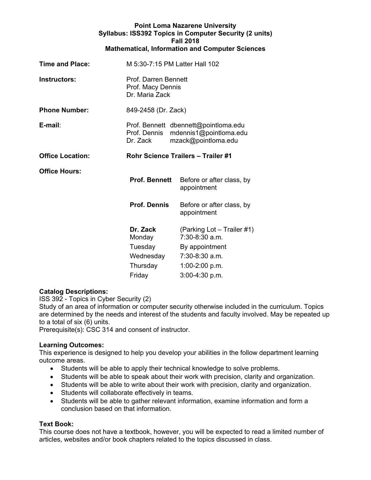|                         |                                           | <b>Point Loma Nazarene University</b><br>Syllabus: ISS392 Topics in Computer Security (2 units)<br><b>Fall 2018</b><br><b>Mathematical, Information and Computer Sciences</b> |  |  |
|-------------------------|-------------------------------------------|-------------------------------------------------------------------------------------------------------------------------------------------------------------------------------|--|--|
| Time and Place:         |                                           | M 5:30-7:15 PM Latter Hall 102                                                                                                                                                |  |  |
| Instructors:            |                                           | Prof. Darren Bennett<br>Prof. Macy Dennis<br>Dr. Maria Zack                                                                                                                   |  |  |
| <b>Phone Number:</b>    |                                           | 849-2458 (Dr. Zack)                                                                                                                                                           |  |  |
| E-mail:                 | Prof. Dennis<br>Dr. Zack                  | Prof. Bennett dbennett@pointloma.edu<br>mdennis1@pointloma.edu<br>mzack@pointloma.edu                                                                                         |  |  |
| <b>Office Location:</b> | <b>Rohr Science Trailers - Trailer #1</b> |                                                                                                                                                                               |  |  |
| <b>Office Hours:</b>    | <b>Prof. Bennett</b>                      | Before or after class, by<br>appointment                                                                                                                                      |  |  |
|                         | <b>Prof. Dennis</b>                       | Before or after class, by<br>appointment                                                                                                                                      |  |  |
|                         | Dr. Zack<br>Monday                        | (Parking Lot - Trailer #1)<br>7:30-8:30 a.m.                                                                                                                                  |  |  |
|                         | Tuesday                                   | By appointment                                                                                                                                                                |  |  |
|                         | Wednesday                                 | 7:30-8:30 a.m.                                                                                                                                                                |  |  |
|                         | Thursday                                  | 1:00-2:00 p.m.                                                                                                                                                                |  |  |
|                         | Friday                                    | 3:00-4:30 p.m.                                                                                                                                                                |  |  |

# **Catalog Descriptions:**

ISS 392 - Topics in Cyber Security (2)

Study of an area of information or computer security otherwise included in the curriculum. Topics are determined by the needs and interest of the students and faculty involved. May be repeated up to a total of six (6) units.

Prerequisite(s): CSC 314 and consent of instructor.

#### **Learning Outcomes:**

This experience is designed to help you develop your abilities in the follow department learning outcome areas.

- Students will be able to apply their technical knowledge to solve problems.
- Students will be able to speak about their work with precision, clarity and organization.
- Students will be able to write about their work with precision, clarity and organization.
- Students will collaborate effectively in teams.
- Students will be able to gather relevant information, examine information and form a conclusion based on that information.

# **Text Book:**

This course does not have a textbook, however, you will be expected to read a limited number of articles, websites and/or book chapters related to the topics discussed in class.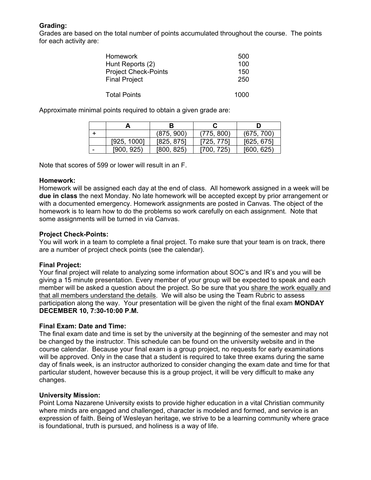# **Grading:**

Grades are based on the total number of points accumulated throughout the course. The points for each activity are:

| <b>Homework</b>             | 500  |
|-----------------------------|------|
| Hunt Reports (2)            | 100  |
| <b>Project Check-Points</b> | 150  |
| <b>Final Project</b>        | 250  |
|                             |      |
| <b>Total Points</b>         | 1000 |

Approximate minimal points required to obtain a given grade are:

|   |             | (875, 900) | (775, 800) | (675, 700) |
|---|-------------|------------|------------|------------|
|   | [925, 1000] | [825, 875] | [725, 775] | [625, 675] |
| - | [900, 925]  | [800, 825] | [700, 725] | [600, 625] |

Note that scores of 599 or lower will result in an F.

## **Homework:**

Homework will be assigned each day at the end of class. All homework assigned in a week will be **due in class** the next Monday. No late homework will be accepted except by prior arrangement or with a documented emergency. Homework assignments are posted in Canvas. The object of the homework is to learn how to do the problems so work carefully on each assignment. Note that some assignments will be turned in via Canvas.

# **Project Check-Points:**

You will work in a team to complete a final project. To make sure that your team is on track, there are a number of project check points (see the calendar).

# **Final Project:**

Your final project will relate to analyzing some information about SOC's and IR's and you will be giving a 15 minute presentation. Every member of your group will be expected to speak and each member will be asked a question about the project. So be sure that you share the work equally and that all members understand the details. We will also be using the Team Rubric to assess participation along the way. Your presentation will be given the night of the final exam **MONDAY DECEMBER 10, 7:30-10:00 P.M.** 

# **Final Exam: Date and Time:**

The final exam date and time is set by the university at the beginning of the semester and may not be changed by the instructor. This schedule can be found on the university website and in the course calendar. Because your final exam is a group project, no requests for early examinations will be approved. Only in the case that a student is required to take three exams during the same day of finals week, is an instructor authorized to consider changing the exam date and time for that particular student, however because this is a group project, it will be very difficult to make any changes.

# **University Mission:**

Point Loma Nazarene University exists to provide higher education in a vital Christian community where minds are engaged and challenged, character is modeled and formed, and service is an expression of faith. Being of Wesleyan heritage, we strive to be a learning community where grace is foundational, truth is pursued, and holiness is a way of life.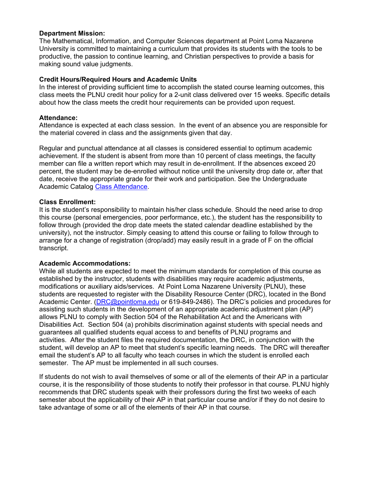#### **Department Mission:**

The Mathematical, Information, and Computer Sciences department at Point Loma Nazarene University is committed to maintaining a curriculum that provides its students with the tools to be productive, the passion to continue learning, and Christian perspectives to provide a basis for making sound value judgments.

## **Credit Hours/Required Hours and Academic Units**

In the interest of providing sufficient time to accomplish the stated course learning outcomes, this class meets the PLNU credit hour policy for a 2-unit class delivered over 15 weeks. Specific details about how the class meets the credit hour requirements can be provided upon request.

#### **Attendance:**

Attendance is expected at each class session. In the event of an absence you are responsible for the material covered in class and the assignments given that day.

Regular and punctual attendance at all classes is considered essential to optimum academic achievement. If the student is absent from more than 10 percent of class meetings, the faculty member can file a written report which may result in de-enrollment. If the absences exceed 20 percent, the student may be de-enrolled without notice until the university drop date or, after that date, receive the appropriate grade for their work and participation. See the Undergraduate Academic Catalog Class Attendance.

## **Class Enrollment:**

It is the student's responsibility to maintain his/her class schedule. Should the need arise to drop this course (personal emergencies, poor performance, etc.), the student has the responsibility to follow through (provided the drop date meets the stated calendar deadline established by the university), not the instructor. Simply ceasing to attend this course or failing to follow through to arrange for a change of registration (drop/add) may easily result in a grade of F on the official transcript.

# **Academic Accommodations:**

While all students are expected to meet the minimum standards for completion of this course as established by the instructor, students with disabilities may require academic adjustments, modifications or auxiliary aids/services. At Point Loma Nazarene University (PLNU), these students are requested to register with the Disability Resource Center (DRC), located in the Bond Academic Center. (DRC@pointloma.edu or 619-849-2486). The DRC's policies and procedures for assisting such students in the development of an appropriate academic adjustment plan (AP) allows PLNU to comply with Section 504 of the Rehabilitation Act and the Americans with Disabilities Act. Section 504 (a) prohibits discrimination against students with special needs and guarantees all qualified students equal access to and benefits of PLNU programs and activities. After the student files the required documentation, the DRC, in conjunction with the student, will develop an AP to meet that student's specific learning needs. The DRC will thereafter email the student's AP to all faculty who teach courses in which the student is enrolled each semester. The AP must be implemented in all such courses.

If students do not wish to avail themselves of some or all of the elements of their AP in a particular course, it is the responsibility of those students to notify their professor in that course. PLNU highly recommends that DRC students speak with their professors during the first two weeks of each semester about the applicability of their AP in that particular course and/or if they do not desire to take advantage of some or all of the elements of their AP in that course.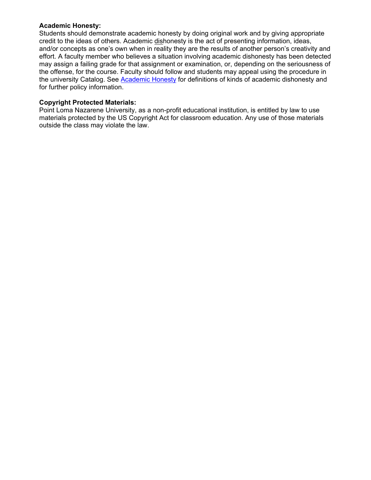#### **Academic Honesty:**

Students should demonstrate academic honesty by doing original work and by giving appropriate credit to the ideas of others. Academic dishonesty is the act of presenting information, ideas, and/or concepts as one's own when in reality they are the results of another person's creativity and effort. A faculty member who believes a situation involving academic dishonesty has been detected may assign a failing grade for that assignment or examination, or, depending on the seriousness of the offense, for the course. Faculty should follow and students may appeal using the procedure in the university Catalog. See Academic Honesty for definitions of kinds of academic dishonesty and for further policy information.

## **Copyright Protected Materials:**

Point Loma Nazarene University, as a non-profit educational institution, is entitled by law to use materials protected by the US Copyright Act for classroom education. Any use of those materials outside the class may violate the law.